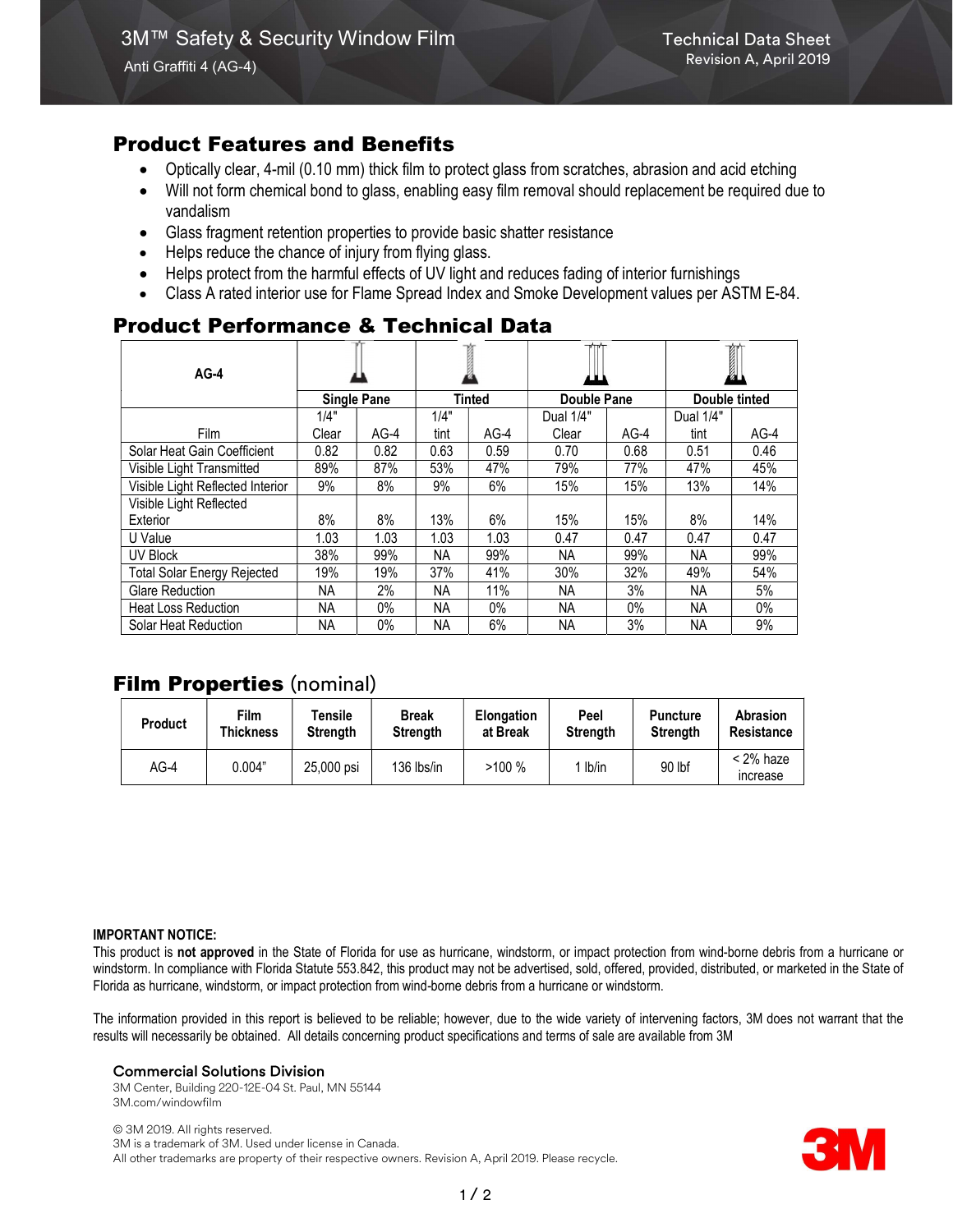## Product Features and Benefits

- Optically clear, 4-mil (0.10 mm) thick film to protect glass from scratches, abrasion and acid etching
- Will not form chemical bond to glass, enabling easy film removal should replacement be required due to vandalism
- Glass fragment retention properties to provide basic shatter resistance
- Helps reduce the chance of injury from flying glass.
- Helps protect from the harmful effects of UV light and reduces fading of interior furnishings
- Class A rated interior use for Flame Spread Index and Smoke Development values per ASTM E-84.

# Product Performance & Technical Data

| $AG-4$                             | <b>Single Pane</b> |        |           |        |             |        | Ì             |        |
|------------------------------------|--------------------|--------|-----------|--------|-------------|--------|---------------|--------|
|                                    |                    |        | Tinted    |        | Double Pane |        | Double tinted |        |
|                                    | 1/4"               |        | 1/4"      |        | Dual 1/4"   |        | Dual 1/4"     |        |
| Film                               | Clear              | $AG-4$ | tint      | $AG-4$ | Clear       | $AG-4$ | tint          | $AG-4$ |
| Solar Heat Gain Coefficient        | 0.82               | 0.82   | 0.63      | 0.59   | 0.70        | 0.68   | 0.51          | 0.46   |
| Visible Light Transmitted          | 89%                | 87%    | 53%       | 47%    | 79%         | 77%    | 47%           | 45%    |
| Visible Light Reflected Interior   | 9%                 | 8%     | 9%        | 6%     | 15%         | 15%    | 13%           | 14%    |
| Visible Light Reflected            |                    |        |           |        |             |        |               |        |
| Exterior                           | 8%                 | 8%     | 13%       | 6%     | 15%         | 15%    | 8%            | 14%    |
| U Value                            | 1.03               | 1.03   | 1.03      | 1.03   | 0.47        | 0.47   | 0.47          | 0.47   |
| UV Block                           | 38%                | 99%    | <b>NA</b> | 99%    | NA.         | 99%    | NA.           | 99%    |
| <b>Total Solar Energy Rejected</b> | 19%                | 19%    | 37%       | 41%    | 30%         | 32%    | 49%           | 54%    |
| <b>Glare Reduction</b>             | ΝA                 | 2%     | <b>NA</b> | 11%    | <b>NA</b>   | 3%     | <b>NA</b>     | 5%     |
| <b>Heat Loss Reduction</b>         | ΝA                 | 0%     | NA.       | 0%     | NА          | $0\%$  | NА            | $0\%$  |
| Solar Heat Reduction               | <b>NA</b>          | $0\%$  | <b>NA</b> | 6%     | <b>NA</b>   | 3%     | <b>NA</b>     | 9%     |

# Film Properties (nominal)

| <b>Product</b> | Film      | Tensile         | <b>Break</b>    | <b>Elongation</b> | Peel            | <b>Puncture</b> | Abrasion                |
|----------------|-----------|-----------------|-----------------|-------------------|-----------------|-----------------|-------------------------|
|                | Thickness | <b>Strength</b> | <b>Strength</b> | at Break          | <b>Strength</b> | Strenath        | Resistance              |
| $AG-4$         | 0.004"    | 25,000 psi      | 136 lbs/in      | >100%             | lb/in           | 90 lbf          | $<$ 2% haze<br>increase |

#### IMPORTANT NOTICE:

This product is not approved in the State of Florida for use as hurricane, windstorm, or impact protection from wind-borne debris from a hurricane or windstorm. In compliance with Florida Statute 553.842, this product may not be advertised, sold, offered, provided, distributed, or marketed in the State of Florida as hurricane, windstorm, or impact protection from wind-borne debris from a hurricane or windstorm.

The information provided in this report is believed to be reliable; however, due to the wide variety of intervening factors, 3M does not warrant that the results will necessarily be obtained. All details concerning product specifications and terms of sale are available from 3M

#### Commercial Solutions Division

3M Center, Building 220-12E-04 St. Paul, MN 55144 3M.com/windowfilm

© 3M 2019. All rights reserved. 3M is a trademark of 3M. Used under license in Canada. All other trademarks are property of their respective owners. Revision A, April 2019. Please recycle.